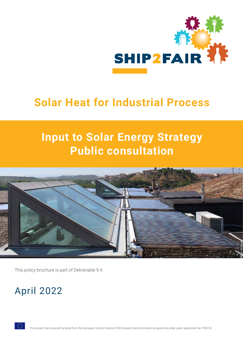

# **Solar Heat for Industrial Process**

# **Input to Solar Energy Strategy Public consultation**



This policy brochure is part of Deliverable 9.4.

## April 2022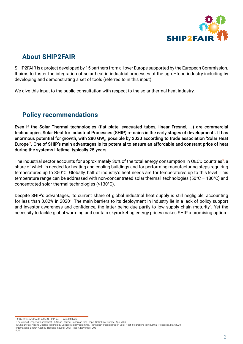

#### **About SHIP2FAIR**

SHIP2FAIR is a project developed by 15 partners from all over Europe supported by the European Commission. It aims to foster the integration of solar heat in industrial processes of the agro–food industry including by developing and demonstrating a set of tools (referred to in this input).

We give this input to the public consultation with respect to the solar thermal heat industry.

#### **Policy recommendations**

Even if the Solar Thermal technologies (flat plate, evacuated tubes, linear Fresnel, …) are commercial technologies, Solar Heat for Industrial Processes (SHIP) remains in the early stages of development<sup>1</sup>. It has enormous potential for growth, with 280 GW<sub>th</sub> possible by 2030 according to trade association 'Solar Heat Europe<sup>'2</sup>. One of SHIP's main advantages is its potential to ensure an affordable and constant price of heat during the system's lifetime, typically 25 years.

The industrial sector accounts for approximately 30% of the total energy consumption in OECD countries<sup>3</sup>, a share of which is needed for heating and cooling buildings and for performing manufacturing steps requiring temperatures up to 350°C. Globally, half of industry's heat needs are for temperatures up to this level. This temperature range can be addressed with non-concentrated solar thermal technologies (50°C – 180°C) and concentrated solar thermal technologies (>130°C).

Despite SHIP's advantages, its current share of global industrial heat supply is still negligible, accounting for less than 0.02% in 2020<sup>4</sup>. The main barriers to its deployment in industry lie in a lack of policy support and investor awareness and confidence, the latter being due partly to low supply chain maturity<sup>5</sup>. Yet the necessity to tackle global warming and contain skyrocketing energy prices makes SHIP a promising option.

[430 entries worldwide in the SHIP-PLANTS.info database](http://ship-plants.info/)

 [<sup>&#</sup>x27;Energising Europe with solar heat - A Solar Thermal Roadmap for Europe',](https://ec.europa.eu/info/law/better-regulation/have-your-say/initiatives/13338-EU-solar-energy-strategy/details/F3241896_en) Solar Heat Europe, April 2022

<sup>&</sup>lt;sup>3</sup> IEA Solar Heating and Cooling Technology Collaboration Programme, <u>Technology Position Paper: Solar Heat Integrations in Industrial Processes</u>, May 2020<br><sup>4</sup> International Energy Agency, <u>[Tracking Industry 2021 Report](https://www.iea.org/reports/tracking-industry-2021)</u>,

<sup>5</sup> Ibid.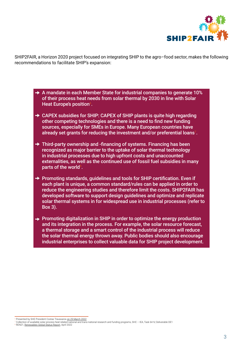

SHIP2FAIR, a Horizon 2020 project focused on integrating SHIP to the agro–food sector, makes the following recommendations to facilitate SHIP's expansion:

- $\rightarrow$  A mandate in each Member State for industrial companies to generate 10% of their process heat needs from solar thermal by 2030 in line with Solar Heat Europe's position $^{\circ}$ .
- **→ CAPEX subsidies for SHIP: CAPEX of SHIP plants is quite high regarding** other competing technologies and there is a need to find new funding sources, especially for SMEs in Europe. Many European countries have already set grants for reducing the investment and/or preferential loans $^{\scriptscriptstyle\top}$ .
- $\rightarrow$  Third-party ownership and -financing of systems. Financing has been recognized as major barrier to the uptake of solar thermal technology in industrial processes due to high upfront costs and unaccounted externalities, as well as the continued use of fossil fuel subsidies in many parts of the world $^{\scriptscriptstyle 8}$ .
- $\rightarrow$  Promoting standards, quidelines and tools for SHIP certification. Even if each plant is unique, a common standard/rules can be applied in order to reduce the engineering studies and therefore limit the costs. SHIP2FAIR has developed software to support design guidelines and optimize and replicate solar thermal systems in for widespread use in industrial processes (refer to Box 3).
- $\rightarrow$  Promoting digitalization in SHIP in order to optimize the energy production and its integration in the process. For example, the solar resource forecast, a thermal storage and a smart control of the industrial process will reduce the solar thermal energy thrown away. Public bodies should also encourage industrial enterprises to collect valuable data for SHIP project development.

Presented by SHE President Costas Travasaros on [29 March 2022](https://ec.europa.eu/info/events/towards-eu-solar-energy-strategy-2022-mar-29_en)

Collection of available solar process heat related national and trans-national research and funding programs, SHC – IEA, Task 64 IV, Deliverable DE1 8 REN21, [Renewables Global Status Report,](https://www.ren21.net/gsr2022-peer-review-is-now-live/) April 2022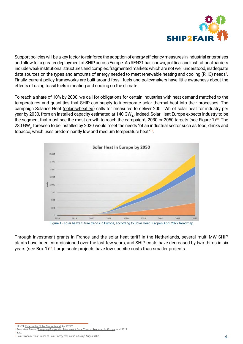

Support policies will be a key factor to reinforce the adoption of energy efficiency measures in industrial enterprises and allow for a greater deployment of SHIP across Europe. As REN21 has shown, political and institutional barriers include weak institutional structures and complex, fragmented markets which are not well understood, inadequate data sources on the types and amounts of energy needed to meet renewable heating and cooling (RHC) needs<sup>9</sup>. Finally, current policy frameworks are built around fossil fuels and policymakers have little awareness about the effects of using fossil fuels in heating and cooling on the climate.

To reach a share of 10% by 2030, we call for obligations for certain industries with heat demand matched to the temperatures and quantities that SHIP can supply to incorporate solar thermal heat into their processes. The campaign Solarise Heat [\(solariseheat.eu](https://solariseheat.eu/)) calls for measures to deliver 200 TWh of solar heat for industry per year by 2030, from an installed capacity estimated at 140 GW<sub>th</sub>. Indeed, Solar Heat Europe expects industry to be the segment that must see the most growth to reach the campaign's 2030 or 2050 targets (see Figure 1)<sup>10</sup>. The 280 GW<sub>th</sub> foreseen to be installed by 2030 would meet the needs "of an industrial sector such as food, drinks and tobacco, which uses predominantly low and medium temperature heat"<sup>11</sup>.



Figure 1 - solar heat's future trends in Europe, according to Solar Heat Europe's April 2022 Roadmap

Through investment grants in France and the solar heat tariff in the Netherlands, several multi-MW SHIP plants have been commissioned over the last few years, and SHIP costs have decreased by two-thirds in six years (see Box  $1$ )<sup>12</sup>. Large-scale projects have low specific costs than smaller projects.

REN21, [Renewables Global Status Report](https://www.ren21.net/gsr2022-peer-review-is-now-live/), April 2022

<sup>10</sup> Solar Heat Europe, ['Energising Europe with Solar Heat: A Solar Thermal Roadmap for Europe](https://ec.europa.eu/info/law/better-regulation/have-your-say/initiatives/13338-EU-solar-energy-strategy/details/F3241896_en)', April 2022 l<sub>bid</sub>

<sup>&</sup>lt;sup>12</sup> Solar Payback, ['Cost Trends of Solar Energy for Heat in Industry'](https://www.solrico.com/fileadmin/solrico/media/doc/Solar_payback/Flyer_SHIP_Cost_Trends_August_2021.pdf), August 2021 4 and the state of the state of the state of the state of the state of the state of the state of the state of the state of the state of th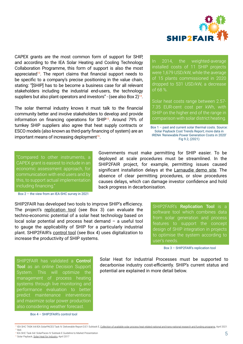

CAPEX grants are the most common form of support for SHIP, and according to the IEA Solar Heating and Cooling Technology Collaboration Programme, this form of support is also the most appreciated<sup>13</sup>. The report claims that financial support needs to be specific to a company's precise positioning in the value chain, stating: "[SHIP] has to be become a business case for all relevant stakeholders including the industrial end-users, the technology suppliers but also plant operators and investors" - (see also Box  $2^{14}$ .

The solar thermal industry knows it must talk to the financial community better and involve stakeholders to develop and provide information on financing operations for SHIP<sup>15</sup>. Around 79% of turnkey SHIP suppliers also agree that heat supply contracts or ESCO models (also known as third-party financing of system) are an important means of increasing deployment $16$ .

In 2014, the weighted-average installed costs of 11 SHIP projects were 1,679 USD/kW, while the average of 15 plants commissioned in 2020 dropped to 531 USD/kW, a decrease of 68 %.

Solar heat costs range between 2.57- 7.35 EUR-cent cost per kWh, with SHIP on the higher end of the range in comparison with solar district heating.

Box 1 – past and current solar thermal costs. Source: [Solar Payback Cost Trends Report;](https://www.solrico.com/fileadmin/solrico/media/doc/Solar_payback/Flyer_SHIP_Cost_Trends_August_2021.pdf) more data in IRENA ['Renewable Power Generation Costs in 2020](https://www.irena.org/publications/2021/Jun/Renewable-Power-Costs-in-2020)' Fig 9.2, (2021)

"Compared to other instruments, a CAPEX grant is easiest to include in an economic assessment approach, for communication with end users and by this, to support actual implementation including financing."

Box 2 – the view from an IEA-SHC survey in 2021

SHIP2FAIR has developed two tools to improve SHIP's efficiency. The project's [replication tool](http://ship2fair-h2020.eu/main-goals) (see Box 3) can evaluate the techno-economic potential of a solar heat technology based on local solar potential and process heat demand – a useful tool to gauge the applicability of SHIP for a particularly industrial plant. SHIP2FAIR's [control tool](http://ship2fair-h2020.eu/main-goals) (see Box 4) uses digitalization to increase the productivity of SHIP systems.

Governments must make permitting for SHIP easier. To be deployed at scale procedures must be streamlined. In the SHIP2FAIR project, for example, permitting issues caused significant installation delays at the [Larnaudie demo site](http://ship2fair-h2020.eu/demo-4-larnaudie). The absence of clear permitting procedures, or slow procedures causes delays, which can damage investor confidence and hold back progress in decarbonisation.

> SHIP2FAIR's Replication Tool is a software tool which combines data from solar generation and process features to support the concept design of SHIP integration in projects to optimise the system according to user's needs.

> > Box 3 – [SHIP2FAIR's replication tool](http://ship2fair-h2020.eu/main-goals)

SHIP2FAIR has validated a **Control** Tool as an online Decision Support System. This will optimize the management of process heating systems through live monitoring and performance evaluation to better predict maintenance interventions and maximize solar power production also considering weather forecast.

Box 4 – [SHIP2FAIR's control tool](http://ship2fair-h2020.eu/main-goals)

Solar Heat for Industrial Processes must be supported to decarbonise industry cost-efficiently. SHIP's current status and potential are explained in more detail below.

<sup>&</sup>lt;sup>13</sup> IEA SHC TASK 64/IEA SolarPACES Task IV. Deliverable Report D.E1 Subtask E, [Collection of available solar process heat related national and trans-national research and funding programs](https://www.iea-shc.org/Data/Sites/1/publications/IEA-SHC-Task64-SolarPACES-TaskIV-D.E1--Collection-of-solar-process-heat-related-research-and-funding-programs.pdf), April 2021 14 Ibid.

 <sup>15</sup> IEA SHC Task 64/ SolarPaces IV Subtask E Guideline to Market Presentation 16 Solar Payback, [Solar Heat for Industry,](https://www.solrico.com/fileadmin/solrico/media/doc/Solar_payback/Solar_Heat_for_Industry_Solar_Payback_April_2017.pdf) April 2017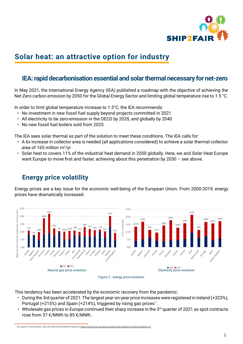

## **Solar heat: an attractive option for industry**

#### **IEA: rapid decarbonisation essential and solar thermal necessary for net-zero**

In May 2021, the International Energy Agency (IEA) published a roadmap with the objective of achieving the Net Zero carbon emission by 2050 for the Global Energy Sector and limiting global temperature rise to 1.5 °C.

In order to limit global temperature increase to 1.5°C, the IEA recommends:

- No investment in new fossil fuel supply beyond projects committed in 2021
- All electricity to be zero-emission in the OECD by 2035, and globally by 2040
- No new fossil fuel boilers sold from 2025

The IEA sees solar thermal as part of the solution to meet these conditions. The IEA calls for:

- A 6x increase in collector area is needed (all applications considered) to achieve a solar thermal collector area of 165 million m²/yr
- Solar heat to covers 11% of the industrial heat demand in 2050 globally. Here, we and Solar Heat Europe want Europe to move first and faster, achieving about this penetration by 2030 – see above.

## **Energy price volatility**

Energy prices are a key issue for the economic well-being of the European Union. From 2000-2019, energy prices have dramatically increased.





This tendency has been accelerated by the economic recovery from the pandemic:

- During the 3rd quarter of 2021: The largest year-on-year price increases were registered in Ireland (+323%), Portugal (+215%) and Spain (+214%), triggered by rising gas prices<sup>17</sup>.
- Wholesale gas prices in Europe continued their sharp increase in the  $3<sup>rd</sup>$  quarter of 2021 as spot contracts rose from 37 €/MWh to 85 €/MWh.

<sup>&</sup>lt;sup>17</sup> European Commission, Gas and Electricity Market Reports, [https://energy.ec.europa.eu/data-and-analysis/market-analysis\\_en](https://energy.ec.europa.eu/data-and-analysis/market-analysis_en)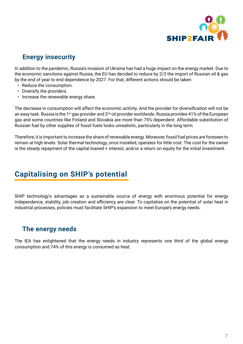

#### **Energy insecurity**

In addition to the pandemic, Russia's invasion of Ukraine has had a huge impact on the energy market. Due to the economic sanctions against Russia, the EU has decided to reduce by 2/3 the import of Russian oil & gas by the end of year to end dependence by 2027. For that, different actions should be taken:

- Reduce the consumption.
- Diversify the providers.
- Increase the renewable energy share.

The decrease in consumption will affect the economic activity. And the provider for diversification will not be an easy task. Russia is the 1<sup>st</sup> gas provider and 2<sup>nd</sup> oil provider worldwide. Russia provides 41% of the European gas and some countries like Finland and Slovakia are more than 75% dependent. Affordable substitution of Russian fuel by other supplies of fossil fuels looks unrealistic, particularly in the long term.

Therefore, it is important to increase the share of renewable energy. Moreover, fossil fuel prices are foreseen to remain at high levels. Solar thermal technology, once installed, operates for little cost. The cost for the owner is the steady repayment of the capital loaned + interest, and/or a return on equity for the initial investment.

### **Capitalising on SHIP's potential**

SHIP technology's advantages as a sustainable source of energy with enormous potential for energy independence, stability, job creation and efficiency are clear. To capitalise on the potential of solar heat in industrial processes, policies must facilitate SHIP's expansion to meet Europe's energy needs.

#### **The energy needs**

The IEA has enlightened that the energy needs in industry represents one third of the global energy consumption and 74% of this energy is consumed as heat.